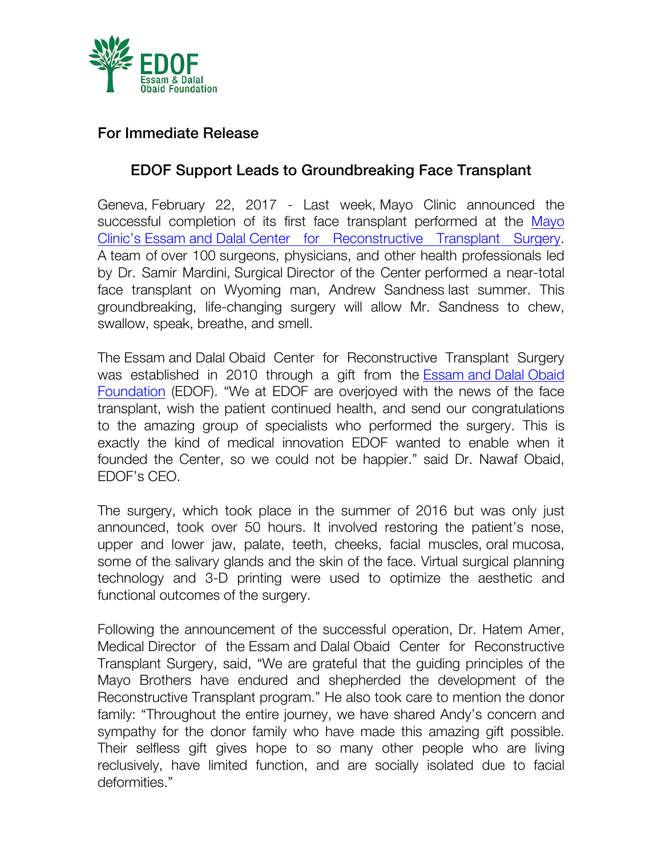

## For Immediate Release

## EDOF Support Leads to Groundbreaking Face Transplant

Geneva, February 22, 2017 - Last week, Mayo Clinic announced the successful completion of its first face transplant performed at the Mayo Clinic's Essam and Dalal Center for Reconstructive Transplant Surgery. A team of over 100 surgeons, physicians, and other health professionals led by Dr. Samir Mardini, Surgical Director of the Center performed a near-total face transplant on Wyoming man, Andrew Sandness last summer. This groundbreaking, life-changing surgery will allow Mr. Sandness to chew, swallow, speak, breathe, and smell.

The Essam and Dalal Obaid Center for Reconstructive Transplant Surgery was established in 2010 through a gift from the Essam and Dalal Obaid Foundation (EDOF). "We at EDOF are overjoyed with the news of the face transplant, wish the patient continued health, and send our congratulations to the amazing group of specialists who performed the surgery. This is exactly the kind of medical innovation EDOF wanted to enable when it founded the Center, so we could not be happier." said Dr. Nawaf Obaid, EDOF's CEO.

The surgery, which took place in the summer of 2016 but was only just announced, took over 50 hours. It involved restoring the patient's nose, upper and lower jaw, palate, teeth, cheeks, facial muscles, oral mucosa, some of the salivary glands and the skin of the face. Virtual surgical planning technology and 3-D printing were used to optimize the aesthetic and functional outcomes of the surgery.

Following the announcement of the successful operation, Dr. Hatem Amer, Medical Director of the Essam and Dalal Obaid Center for Reconstructive Transplant Surgery, said, "We are grateful that the guiding principles of the Mayo Brothers have endured and shepherded the development of the Reconstructive Transplant program." He also took care to mention the donor family: "Throughout the entire journey, we have shared Andy's concern and sympathy for the donor family who have made this amazing gift possible. Their selfless gift gives hope to so many other people who are living reclusively, have limited function, and are socially isolated due to facial deformities."